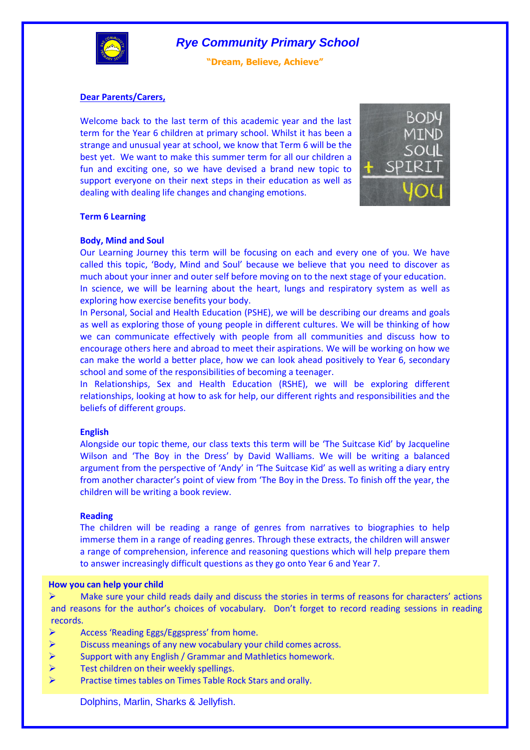

**"Dream, Believe, Achieve"**

## **Dear Parents/Carers,**

Welcome back to the last term of this academic year and the last term for the Year 6 children at primary school. Whilst it has been a strange and unusual year at school, we know that Term 6 will be the best yet. We want to make this summer term for all our children a fun and exciting one, so we have devised a brand new topic to support everyone on their next steps in their education as well as dealing with dealing life changes and changing emotions.



### **Term 6 Learning**

#### **Body, Mind and Soul**

Our Learning Journey this term will be focusing on each and every one of you. We have called this topic, 'Body, Mind and Soul' because we believe that you need to discover as much about your inner and outer self before moving on to the next stage of your education. In science, we will be learning about the heart, lungs and respiratory system as well as exploring how exercise benefits your body.

In Personal, Social and Health Education (PSHE), we will be describing our dreams and goals as well as exploring those of young people in different cultures. We will be thinking of how we can communicate effectively with people from all communities and discuss how to encourage others here and abroad to meet their aspirations. We will be working on how we can make the world a better place, how we can look ahead positively to Year 6, secondary school and some of the responsibilities of becoming a teenager.

In Relationships, Sex and Health Education (RSHE), we will be exploring different relationships, looking at how to ask for help, our different rights and responsibilities and the beliefs of different groups.

## **English**

Alongside our topic theme, our class texts this term will be 'The Suitcase Kid' by Jacqueline Wilson and 'The Boy in the Dress' by David Walliams. We will be writing a balanced argument from the perspective of 'Andy' in 'The Suitcase Kid' as well as writing a diary entry from another character's point of view from 'The Boy in the Dress. To finish off the year, the children will be writing a book review.

### **Reading**

The children will be reading a range of genres from narratives to biographies to help immerse them in a range of reading genres. Through these extracts, the children will answer a range of comprehension, inference and reasoning questions which will help prepare them to answer increasingly difficult questions as they go onto Year 6 and Year 7.

#### **How you can help your child**

 $\triangleright$  Make sure your child reads daily and discuss the stories in terms of reasons for characters' actions and reasons for the author's choices of vocabulary. Don't forget to record reading sessions in reading records.

- $\triangleright$  Access 'Reading Eggs/Eggspress' from home.
- $\triangleright$  Discuss meanings of any new vocabulary your child comes across.
- $\triangleright$  Support with any English / Grammar and Mathletics homework.
- $\triangleright$  Test children on their weekly spellings.
- Practise times tables on Times Table Rock Stars and orally.

Dolphins, Marlin, Sharks & Jellyfish.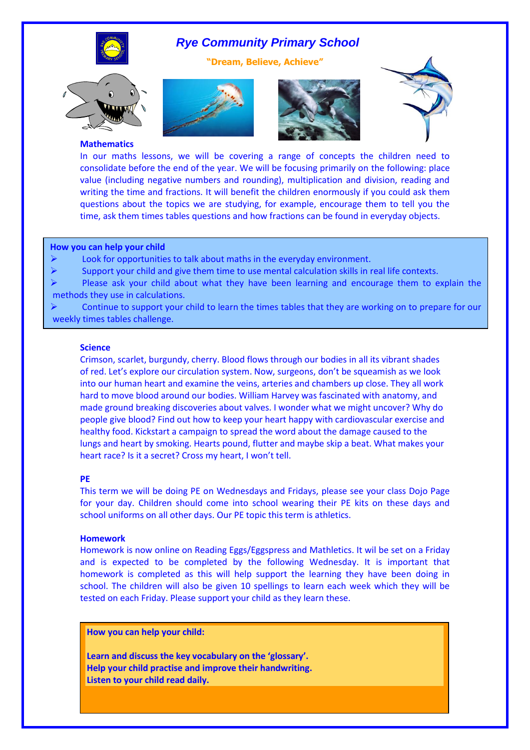

**"Dream, Believe, Achieve"**









#### **Mathematics**

In our maths lessons, we will be covering a range of concepts the children need to consolidate before the end of the year. We will be focusing primarily on the following: place value (including negative numbers and rounding), multiplication and division, reading and writing the time and fractions. It will benefit the children enormously if you could ask them questions about the topics we are studying, for example, encourage them to tell you the time, ask them times tables questions and how fractions can be found in everyday objects.

#### **How you can help your child**

 $\triangleright$  Look for opportunities to talk about maths in the everyday environment.

 $\triangleright$  Support your child and give them time to use mental calculation skills in real life contexts.

 Please ask your child about what they have been learning and encourage them to explain the methods they use in calculations.

**PE**  $\triangleright$  Continue to support your child to learn the times tables that they are working on to prepare for our weekly times tables challenge.

### **Science**

Crimson, scarlet, burgundy, cherry. Blood flows through our bodies in all its vibrant shades of red. Let's explore our circulation system. Now, surgeons, don't be squeamish as we look into our human heart and examine the veins, arteries and chambers up close. They all work hard to move blood around our bodies. William Harvey was fascinated with anatomy, and made ground breaking discoveries about valves. I wonder what we might uncover? Why do people give blood? Find out how to keep your heart happy with cardiovascular exercise and healthy food. Kickstart a campaign to spread the word about the damage caused to the lungs and heart by smoking. Hearts pound, flutter and maybe skip a beat. What makes your heart race? Is it a secret? Cross my heart, I won't tell.

### **PE**

This term we will be doing PE on Wednesdays and Fridays, please see your class Dojo Page for your day. Children should come into school wearing their PE kits on these days and school uniforms on all other days. Our PE topic this term is athletics.

### **Homework**

Homework is now online on Reading Eggs/Eggspress and Mathletics. It wil be set on a Friday and is expected to be completed by the following Wednesday. It is important that homework is completed as this will help support the learning they have been doing in school. The children will also be given 10 spellings to learn each week which they will be tested on each Friday. Please support your child as they learn these.

**How you can help your child:**

Dolphins, Marlin, Sharks & Jellyfish.

**Learn and discuss the key vocabulary on the 'glossary'. Help your child practise and improve their handwriting. Listen to your child read daily.**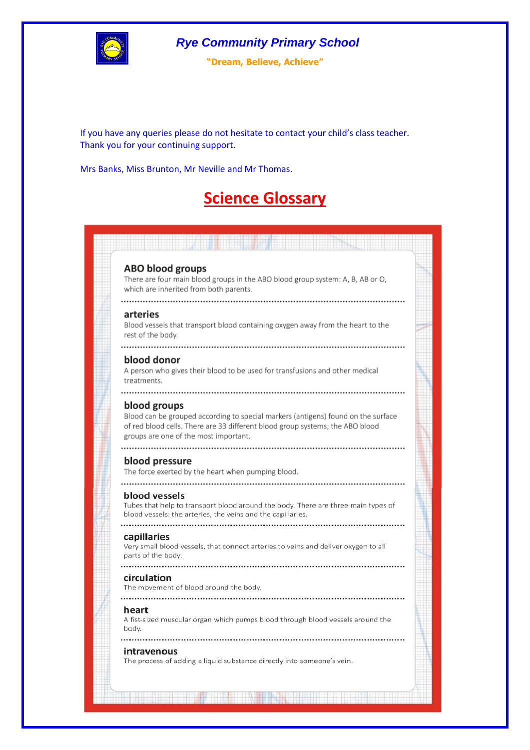

**"Dream, Believe, Achieve"**

If you have any queries please do not hesitate to contact your child's class teacher. Thank you for your continuing support.

Mrs Banks, Miss Brunton, Mr Neville and Mr Thomas.

# **Science Glossary**